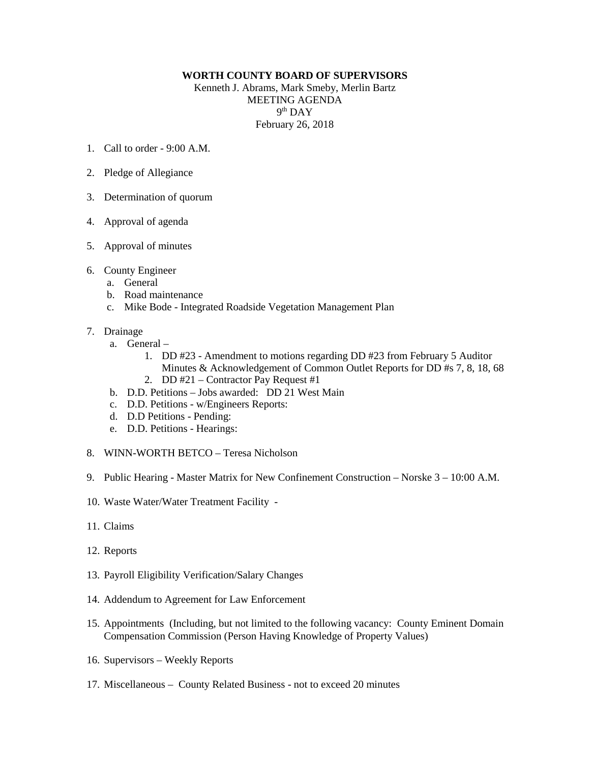## **WORTH COUNTY BOARD OF SUPERVISORS**

Kenneth J. Abrams, Mark Smeby, Merlin Bartz MEETING AGENDA 9th DAY February 26, 2018

- 1. Call to order  $9.00 \text{ A M}$
- 2. Pledge of Allegiance
- 3. Determination of quorum
- 4. Approval of agenda
- 5. Approval of minutes
- 6. County Engineer
	- a. General
	- b. Road maintenance
	- c. Mike Bode Integrated Roadside Vegetation Management Plan
- 7. Drainage
	- a. General
		- 1. DD #23 Amendment to motions regarding DD #23 from February 5 Auditor Minutes & Acknowledgement of Common Outlet Reports for DD #s 7, 8, 18, 68
		- 2. DD #21 Contractor Pay Request #1
	- b. D.D. Petitions Jobs awarded: DD 21 West Main
	- c. D.D. Petitions w/Engineers Reports:
	- d. D.D Petitions Pending:
	- e. D.D. Petitions Hearings:
- 8. WINN-WORTH BETCO Teresa Nicholson
- 9. Public Hearing Master Matrix for New Confinement Construction Norske 3 10:00 A.M.
- 10. Waste Water/Water Treatment Facility -
- 11. Claims
- 12. Reports
- 13. Payroll Eligibility Verification/Salary Changes
- 14. Addendum to Agreement for Law Enforcement
- 15. Appointments (Including, but not limited to the following vacancy: County Eminent Domain Compensation Commission (Person Having Knowledge of Property Values)
- 16. Supervisors Weekly Reports
- 17. Miscellaneous County Related Business not to exceed 20 minutes